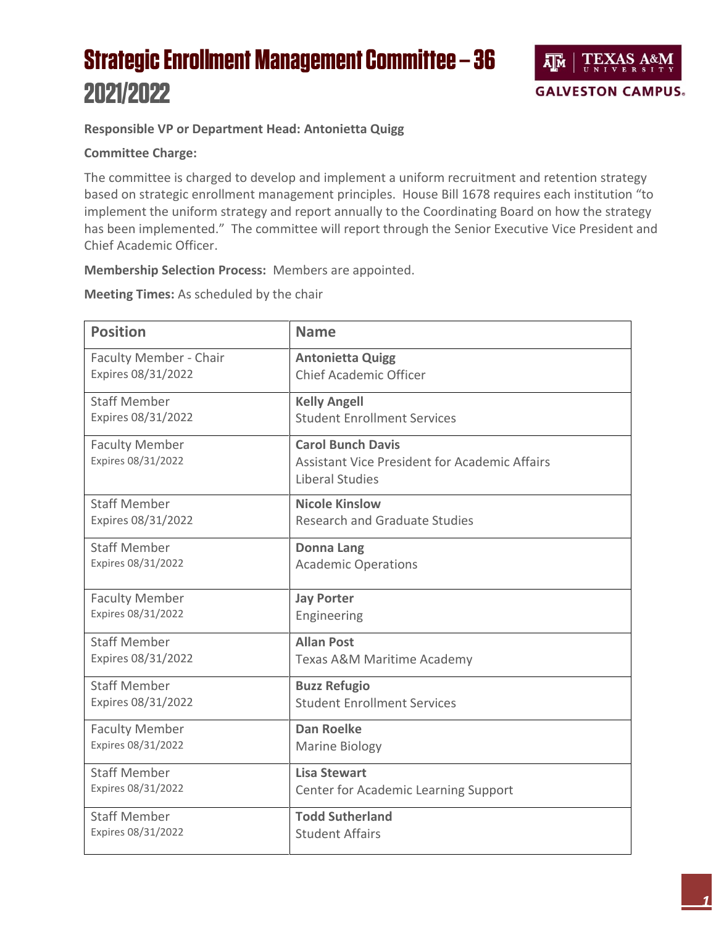## **Strategic Enrollment Management Committee - 36** 2021/2022



## **Responsible VP or Department Head: Antonietta Quigg**

## **Committee Charge:**

The committee is charged to develop and implement a uniform recruitment and retention strategy based on strategic enrollment management principles. House Bill 1678 requires each institution "to implement the uniform strategy and report annually to the Coordinating Board on how the strategy has been implemented." The committee will report through the Senior Executive Vice President and Chief Academic Officer.

**Membership Selection Process:** Members are appointed.

**Meeting Times:** As scheduled by the chair

| <b>Position</b>                             | <b>Name</b>                                                                                         |
|---------------------------------------------|-----------------------------------------------------------------------------------------------------|
| Faculty Member - Chair                      | <b>Antonietta Quigg</b>                                                                             |
| Expires 08/31/2022                          | <b>Chief Academic Officer</b>                                                                       |
| <b>Staff Member</b>                         | <b>Kelly Angell</b>                                                                                 |
| Expires 08/31/2022                          | <b>Student Enrollment Services</b>                                                                  |
| <b>Faculty Member</b><br>Expires 08/31/2022 | <b>Carol Bunch Davis</b><br><b>Assistant Vice President for Academic Affairs</b><br>Liberal Studies |
| <b>Staff Member</b>                         | <b>Nicole Kinslow</b>                                                                               |
| Expires 08/31/2022                          | <b>Research and Graduate Studies</b>                                                                |
| <b>Staff Member</b>                         | <b>Donna Lang</b>                                                                                   |
| Expires 08/31/2022                          | <b>Academic Operations</b>                                                                          |
| <b>Faculty Member</b>                       | <b>Jay Porter</b>                                                                                   |
| Expires 08/31/2022                          | Engineering                                                                                         |
| <b>Staff Member</b>                         | <b>Allan Post</b>                                                                                   |
| Expires 08/31/2022                          | Texas A&M Maritime Academy                                                                          |
| <b>Staff Member</b>                         | <b>Buzz Refugio</b>                                                                                 |
| Expires 08/31/2022                          | <b>Student Enrollment Services</b>                                                                  |
| <b>Faculty Member</b>                       | <b>Dan Roelke</b>                                                                                   |
| Expires 08/31/2022                          | <b>Marine Biology</b>                                                                               |
| <b>Staff Member</b>                         | <b>Lisa Stewart</b>                                                                                 |
| Expires 08/31/2022                          | Center for Academic Learning Support                                                                |
| <b>Staff Member</b>                         | <b>Todd Sutherland</b>                                                                              |
| Expires 08/31/2022                          | <b>Student Affairs</b>                                                                              |